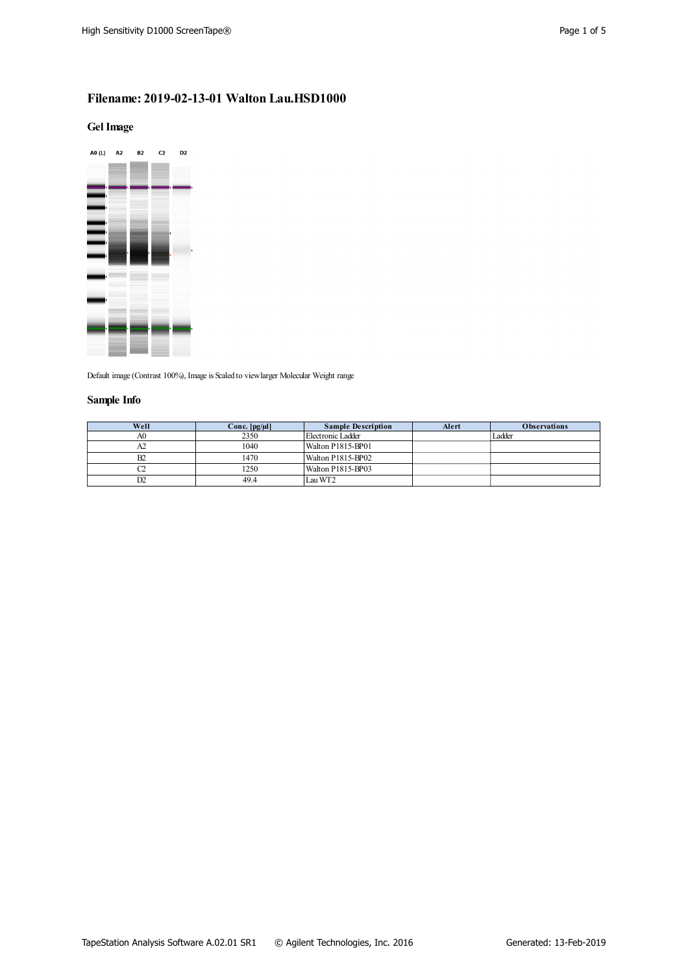# **Filename: 2019-02-13-01 Walton Lau.HSD1000**

### **GelImage**



Default image (Contrast 100%), Image is Scaled to view larger Molecular Weight range

## **Sample Info**

| Well | Conc. $[pg/\mu]$ | <b>Sample Description</b> | Alert | <b>Observations</b> |
|------|------------------|---------------------------|-------|---------------------|
| A0   | 2350             | Electronic Ladder         |       | Ladder              |
| A2   | 1040             | Walton P1815-BP01         |       |                     |
| B2   | 1470             | Walton P1815-BP02         |       |                     |
|      | 1250             | Walton P1815-BP03         |       |                     |
| D2   | 49.4             | Lau WT2                   |       |                     |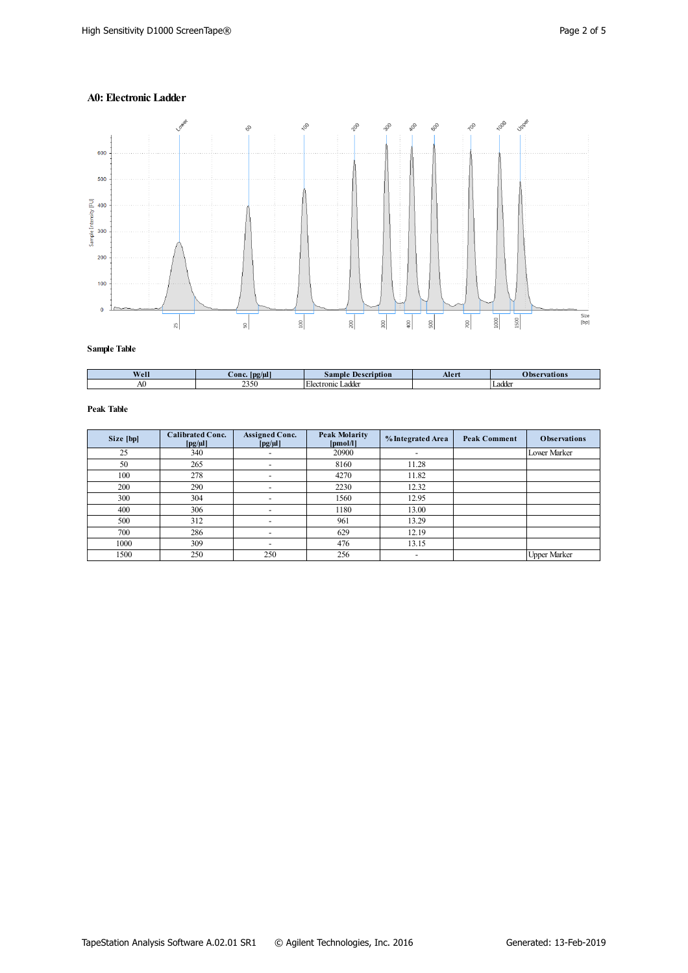### **A0: Electronic Ladder**



**Sample Table**

| Well | - -<br>$\angle$ onc $\angle$<br> pg/µl | $\mathbf{p}$<br>ption<br>sample                  | Aler | vations      |
|------|----------------------------------------|--------------------------------------------------|------|--------------|
| AU.  | 2250<br>232U                           | .<br>addor<br>Tonic '<br>. Elect<br><b>LAULE</b> |      | oddo<br>∟auu |

| Size [bp] | <b>Calibrated Conc.</b><br>$[pg/\mu]$ | <b>Assigned Conc.</b><br>$[pg/\mu]$ | <b>Peak Molarity</b><br>[pmol/l] | % Integrated Area        | <b>Peak Comment</b> | <b>Observations</b> |
|-----------|---------------------------------------|-------------------------------------|----------------------------------|--------------------------|---------------------|---------------------|
| 25        | 340                                   |                                     | 20900                            | $\overline{\phantom{0}}$ |                     | Lower Marker        |
| 50        | 265                                   | $\overline{\phantom{0}}$            | 8160                             | 11.28                    |                     |                     |
| 100       | 278                                   |                                     | 4270                             | 11.82                    |                     |                     |
| 200       | 290                                   |                                     | 2230                             | 12.32                    |                     |                     |
| 300       | 304                                   |                                     | 1560                             | 12.95                    |                     |                     |
| 400       | 306                                   |                                     | 1180                             | 13.00                    |                     |                     |
| 500       | 312                                   |                                     | 961                              | 13.29                    |                     |                     |
| 700       | 286                                   |                                     | 629                              | 12.19                    |                     |                     |
| 1000      | 309                                   |                                     | 476                              | 13.15                    |                     |                     |
| 1500      | 250                                   | 250                                 | 256                              | $\overline{\phantom{a}}$ |                     | <b>Upper Marker</b> |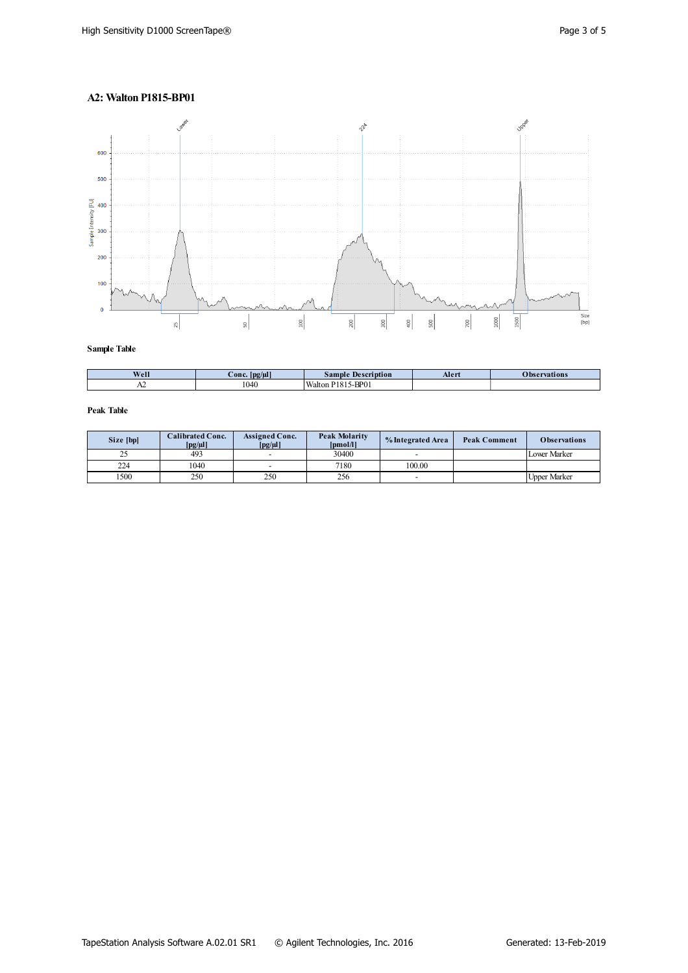# **A2: Walton P1815-BP01**



**Sample Table**

| Well | $\sim$<br>∴onc<br>.   D2/UI | <b>Description</b><br>$\sum$ ample | Aler | vations |
|------|-----------------------------|------------------------------------|------|---------|
| A    | 1040<br>ι∪+υ                | $5-BP01$<br><b>Walton</b><br>181   |      |         |

| Size [bp] | <b>Calibrated Conc.</b><br>$[pg/\mu]$ | <b>Assigned Conc.</b><br>$\lceil \text{pg}/\text{\mu} \rceil$ | <b>Peak Molarity</b><br>[pmol/l] | % Integrated Area | <b>Peak Comment</b> | <b>Observations</b> |
|-----------|---------------------------------------|---------------------------------------------------------------|----------------------------------|-------------------|---------------------|---------------------|
| ں ک       | 493                                   | $\overline{\phantom{0}}$                                      | 30400                            | -                 |                     | <b>Lower Marker</b> |
| 224       | 1040                                  | $\overline{\phantom{0}}$                                      | 7180                             | 100.00            |                     |                     |
| 500       | 250                                   | 250                                                           | 256                              | -                 |                     | <b>Upper Marker</b> |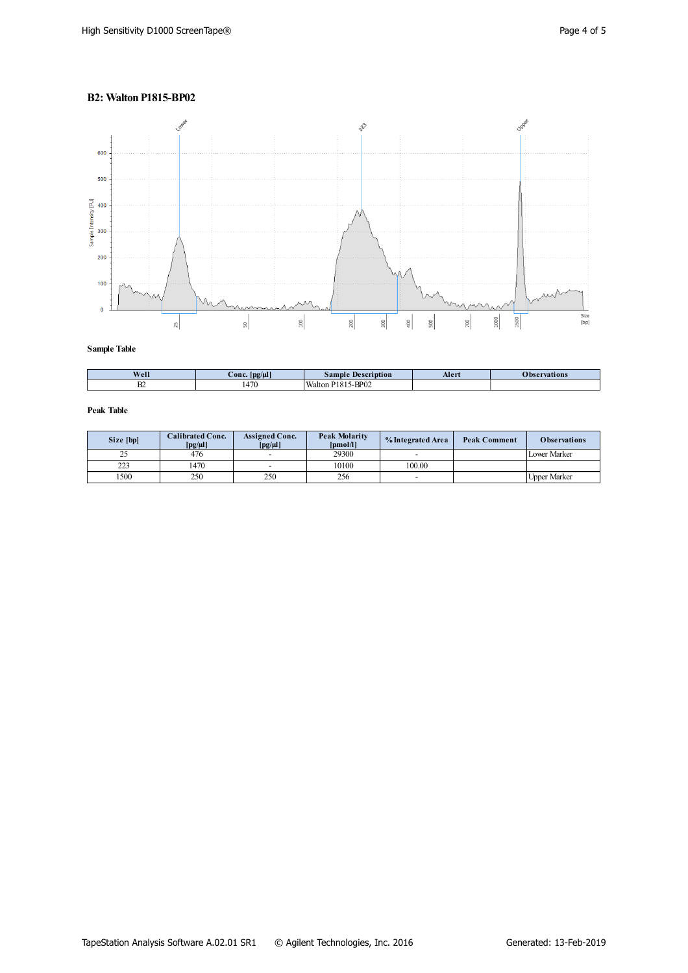## **B2: Walton P1815-BP02**



**Sample Table**

| Well      | --<br>Conc<br>. $\log(\mu l)$ | <b>Description</b><br>$\sigma$ ample | Alert | vations |
|-----------|-------------------------------|--------------------------------------|-------|---------|
| <b>DA</b> | 470<br>14/U                   | 5-BP02<br>Walton<br>$\sim$           |       |         |

| Size [bp] | <b>Calibrated Conc.</b><br>$[pg/\mu]$ | <b>Assigned Conc.</b><br>$\lceil \text{pg}/\text{\mu} \rceil$ | <b>Peak Molarity</b><br>[pmol/l] | % Integrated Area | <b>Peak Comment</b> | <b>Observations</b> |
|-----------|---------------------------------------|---------------------------------------------------------------|----------------------------------|-------------------|---------------------|---------------------|
| ں ک       | 476                                   | $\overline{\phantom{0}}$                                      | 29300                            | -                 |                     | <b>Lower Marker</b> |
| 223       | 1470                                  | $\overline{\phantom{0}}$                                      | 10100                            | 100.00            |                     |                     |
| 500       | 250                                   | 250                                                           | 256                              | -                 |                     | <b>Upper Marker</b> |